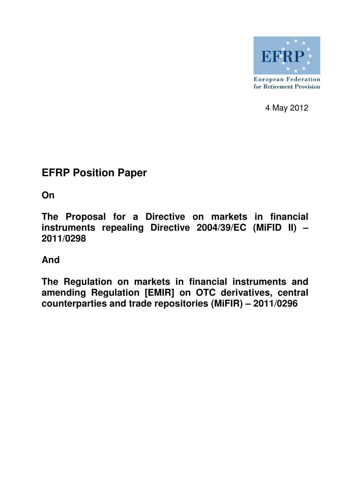

4 May 2012

# **EFRP Position Paper**

**On** 

**The Proposal for a Directive on markets in financial instruments repealing Directive 2004/39/EC (MiFID II) – 2011/0298** 

**And** 

**The Regulation on markets in financial instruments and amending Regulation [EMIR] on OTC derivatives, central counterparties and trade repositories (MiFIR) – 2011/0296**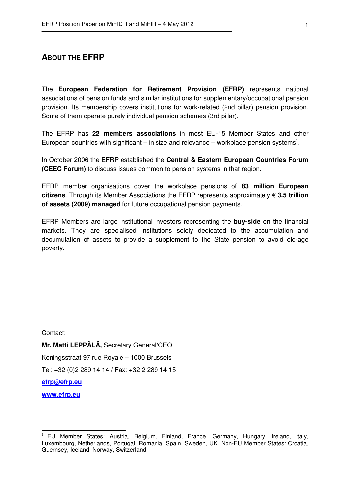# **ABOUT THE EFRP**

The **European Federation for Retirement Provision (EFRP)** represents national associations of pension funds and similar institutions for supplementary/occupational pension provision. Its membership covers institutions for work-related (2nd pillar) pension provision. Some of them operate purely individual pension schemes (3rd pillar).

The EFRP has **22 members associations** in most EU-15 Member States and other European countries with significant  $-$  in size and relevance  $-$  workplace pension systems<sup>1</sup>.

In October 2006 the EFRP established the **Central & Eastern European Countries Forum (CEEC Forum)** to discuss issues common to pension systems in that region.

EFRP member organisations cover the workplace pensions of **83 million European citizens**. Through its Member Associations the EFRP represents approximately € **3.5 trillion of assets (2009) managed** for future occupational pension payments.

EFRP Members are large institutional investors representing the **buy-side** on the financial markets. They are specialised institutions solely dedicated to the accumulation and decumulation of assets to provide a supplement to the State pension to avoid old-age poverty.

Contact:

**Mr. Matti LEPPÄLÄ,** Secretary General/CEO Koningsstraat 97 rue Royale – 1000 Brussels Tel: +32 (0)2 289 14 14 / Fax: +32 2 289 14 15 **efrp@efrp.eu**

**www.efrp.eu** 

 $\overline{a}$ 

 $1$  EU Member States: Austria, Belgium, Finland, France, Germany, Hungary, Ireland, Italy, Luxembourg, Netherlands, Portugal, Romania, Spain, Sweden, UK. Non-EU Member States: Croatia, Guernsey, Iceland, Norway, Switzerland.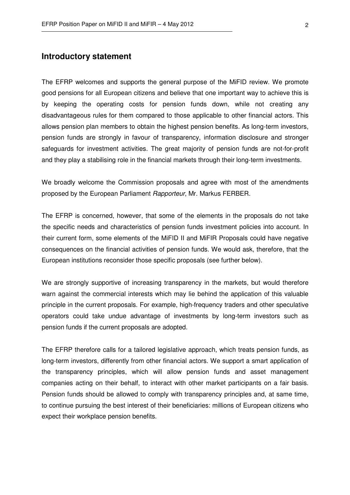## **Introductory statement**

The EFRP welcomes and supports the general purpose of the MiFID review. We promote good pensions for all European citizens and believe that one important way to achieve this is by keeping the operating costs for pension funds down, while not creating any disadvantageous rules for them compared to those applicable to other financial actors. This allows pension plan members to obtain the highest pension benefits. As long-term investors, pension funds are strongly in favour of transparency, information disclosure and stronger safeguards for investment activities. The great majority of pension funds are not-for-profit and they play a stabilising role in the financial markets through their long-term investments.

We broadly welcome the Commission proposals and agree with most of the amendments proposed by the European Parliament Rapporteur, Mr. Markus FERBER.

The EFRP is concerned, however, that some of the elements in the proposals do not take the specific needs and characteristics of pension funds investment policies into account. In their current form, some elements of the MiFID II and MiFIR Proposals could have negative consequences on the financial activities of pension funds. We would ask, therefore, that the European institutions reconsider those specific proposals (see further below).

We are strongly supportive of increasing transparency in the markets, but would therefore warn against the commercial interests which may lie behind the application of this valuable principle in the current proposals. For example, high-frequency traders and other speculative operators could take undue advantage of investments by long-term investors such as pension funds if the current proposals are adopted.

The EFRP therefore calls for a tailored legislative approach, which treats pension funds, as long-term investors, differently from other financial actors. We support a smart application of the transparency principles, which will allow pension funds and asset management companies acting on their behalf, to interact with other market participants on a fair basis. Pension funds should be allowed to comply with transparency principles and, at same time, to continue pursuing the best interest of their beneficiaries: millions of European citizens who expect their workplace pension benefits.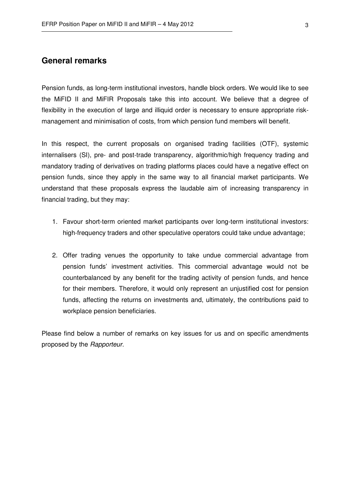## **General remarks**

Pension funds, as long-term institutional investors, handle block orders. We would like to see the MiFID II and MiFIR Proposals take this into account. We believe that a degree of flexibility in the execution of large and illiquid order is necessary to ensure appropriate riskmanagement and minimisation of costs, from which pension fund members will benefit.

In this respect, the current proposals on organised trading facilities (OTF), systemic internalisers (SI), pre- and post-trade transparency, algorithmic/high frequency trading and mandatory trading of derivatives on trading platforms places could have a negative effect on pension funds, since they apply in the same way to all financial market participants. We understand that these proposals express the laudable aim of increasing transparency in financial trading, but they may:

- 1. Favour short-term oriented market participants over long-term institutional investors: high-frequency traders and other speculative operators could take undue advantage;
- 2. Offer trading venues the opportunity to take undue commercial advantage from pension funds' investment activities. This commercial advantage would not be counterbalanced by any benefit for the trading activity of pension funds, and hence for their members. Therefore, it would only represent an unjustified cost for pension funds, affecting the returns on investments and, ultimately, the contributions paid to workplace pension beneficiaries.

Please find below a number of remarks on key issues for us and on specific amendments proposed by the Rapporteur.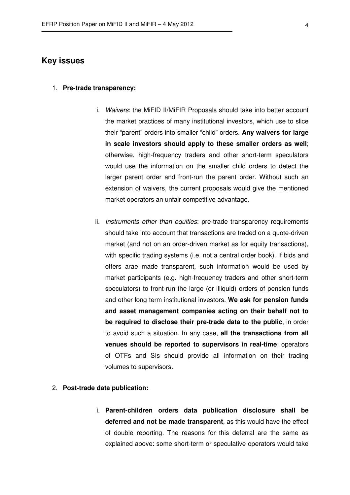## **Key issues**

#### 1. **Pre-trade transparency:**

- i. Waivers: the MiFID II/MiFIR Proposals should take into better account the market practices of many institutional investors, which use to slice their "parent" orders into smaller "child" orders. **Any waivers for large in scale investors should apply to these smaller orders as well**; otherwise, high-frequency traders and other short-term speculators would use the information on the smaller child orders to detect the larger parent order and front-run the parent order. Without such an extension of waivers, the current proposals would give the mentioned market operators an unfair competitive advantage.
- ii. Instruments other than equities: pre-trade transparency requirements should take into account that transactions are traded on a quote-driven market (and not on an order-driven market as for equity transactions), with specific trading systems (i.e. not a central order book). If bids and offers arae made transparent, such information would be used by market participants (e.g. high-frequency traders and other short-term speculators) to front-run the large (or illiquid) orders of pension funds and other long term institutional investors. **We ask for pension funds and asset management companies acting on their behalf not to be required to disclose their pre-trade data to the public**, in order to avoid such a situation. In any case, **all the transactions from all venues should be reported to supervisors in real-time**: operators of OTFs and SIs should provide all information on their trading volumes to supervisors.

#### 2. **Post-trade data publication:**

i. **Parent-children orders data publication disclosure shall be deferred and not be made transparent**, as this would have the effect of double reporting. The reasons for this deferral are the same as explained above: some short-term or speculative operators would take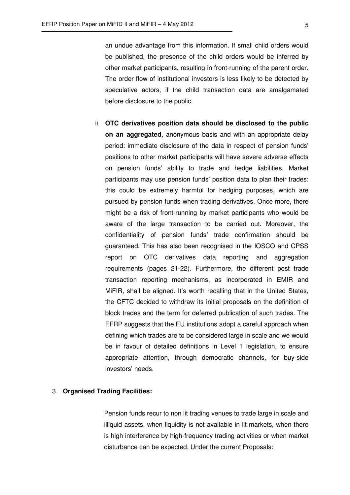an undue advantage from this information. If small child orders would be published, the presence of the child orders would be inferred by other market participants, resulting in front-running of the parent order. The order flow of institutional investors is less likely to be detected by speculative actors, if the child transaction data are amalgamated before disclosure to the public.

ii. **OTC derivatives position data should be disclosed to the public on an aggregated**, anonymous basis and with an appropriate delay period: immediate disclosure of the data in respect of pension funds' positions to other market participants will have severe adverse effects on pension funds' ability to trade and hedge liabilities. Market participants may use pension funds' position data to plan their trades: this could be extremely harmful for hedging purposes, which are pursued by pension funds when trading derivatives. Once more, there might be a risk of front-running by market participants who would be aware of the large transaction to be carried out. Moreover, the confidentiality of pension funds' trade confirmation should be guaranteed. This has also been recognised in the IOSCO and CPSS report on OTC derivatives data reporting and aggregation requirements (pages 21-22). Furthermore, the different post trade transaction reporting mechanisms, as incorporated in EMIR and MiFIR, shall be aligned. It's worth recalling that in the United States, the CFTC decided to withdraw its initial proposals on the definition of block trades and the term for deferred publication of such trades. The EFRP suggests that the EU institutions adopt a careful approach when defining which trades are to be considered large in scale and we would be in favour of detailed definitions in Level 1 legislation, to ensure appropriate attention, through democratic channels, for buy-side investors' needs.

### 3. **Organised Trading Facilities:**

 Pension funds recur to non lit trading venues to trade large in scale and illiquid assets, when liquidity is not available in lit markets, when there is high interference by high-frequency trading activities or when market disturbance can be expected. Under the current Proposals: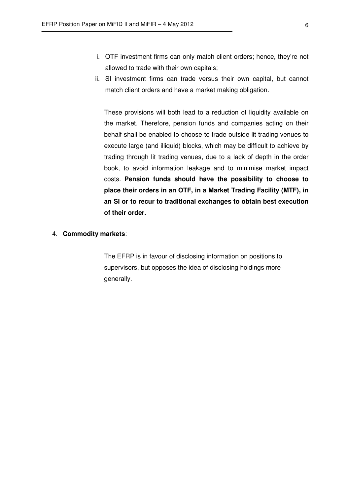- i. OTF investment firms can only match client orders; hence, they're not allowed to trade with their own capitals;
- ii. SI investment firms can trade versus their own capital, but cannot match client orders and have a market making obligation.

 These provisions will both lead to a reduction of liquidity available on the market. Therefore, pension funds and companies acting on their behalf shall be enabled to choose to trade outside lit trading venues to execute large (and illiquid) blocks, which may be difficult to achieve by trading through lit trading venues, due to a lack of depth in the order book, to avoid information leakage and to minimise market impact costs. **Pension funds should have the possibility to choose to place their orders in an OTF, in a Market Trading Facility (MTF), in an SI or to recur to traditional exchanges to obtain best execution of their order.**

#### 4. **Commodity markets**:

 The EFRP is in favour of disclosing information on positions to supervisors, but opposes the idea of disclosing holdings more generally.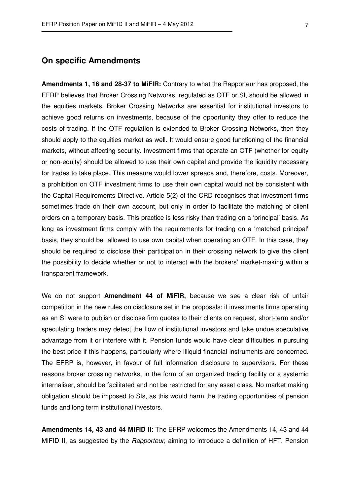## **On specific Amendments**

**Amendments 1, 16 and 28-37 to MiFIR:** Contrary to what the Rapporteur has proposed, the EFRP believes that Broker Crossing Networks, regulated as OTF or SI, should be allowed in the equities markets. Broker Crossing Networks are essential for institutional investors to achieve good returns on investments, because of the opportunity they offer to reduce the costs of trading. If the OTF regulation is extended to Broker Crossing Networks, then they should apply to the equities market as well. It would ensure good functioning of the financial markets, without affecting security. Investment firms that operate an OTF (whether for equity or non-equity) should be allowed to use their own capital and provide the liquidity necessary for trades to take place. This measure would lower spreads and, therefore, costs. Moreover, a prohibition on OTF investment firms to use their own capital would not be consistent with the Capital Requirements Directive. Article 5(2) of the CRD recognises that investment firms sometimes trade on their own account, but only in order to facilitate the matching of client orders on a temporary basis. This practice is less risky than trading on a 'principal' basis. As long as investment firms comply with the requirements for trading on a 'matched principal' basis, they should be allowed to use own capital when operating an OTF. In this case, they should be required to disclose their participation in their crossing network to give the client the possibility to decide whether or not to interact with the brokers' market-making within a transparent framework.

We do not support **Amendment 44 of MiFIR,** because we see a clear risk of unfair competition in the new rules on disclosure set in the proposals: if investments firms operating as an SI were to publish or disclose firm quotes to their clients on request, short-term and/or speculating traders may detect the flow of institutional investors and take undue speculative advantage from it or interfere with it. Pension funds would have clear difficulties in pursuing the best price if this happens, particularly where illiquid financial instruments are concerned. The EFRP is, however, in favour of full information disclosure to supervisors. For these reasons broker crossing networks, in the form of an organized trading facility or a systemic internaliser, should be facilitated and not be restricted for any asset class. No market making obligation should be imposed to SIs, as this would harm the trading opportunities of pension funds and long term institutional investors.

**Amendments 14, 43 and 44 MiFID II:** The EFRP welcomes the Amendments 14, 43 and 44 MIFID II, as suggested by the *Rapporteur*, aiming to introduce a definition of HFT. Pension